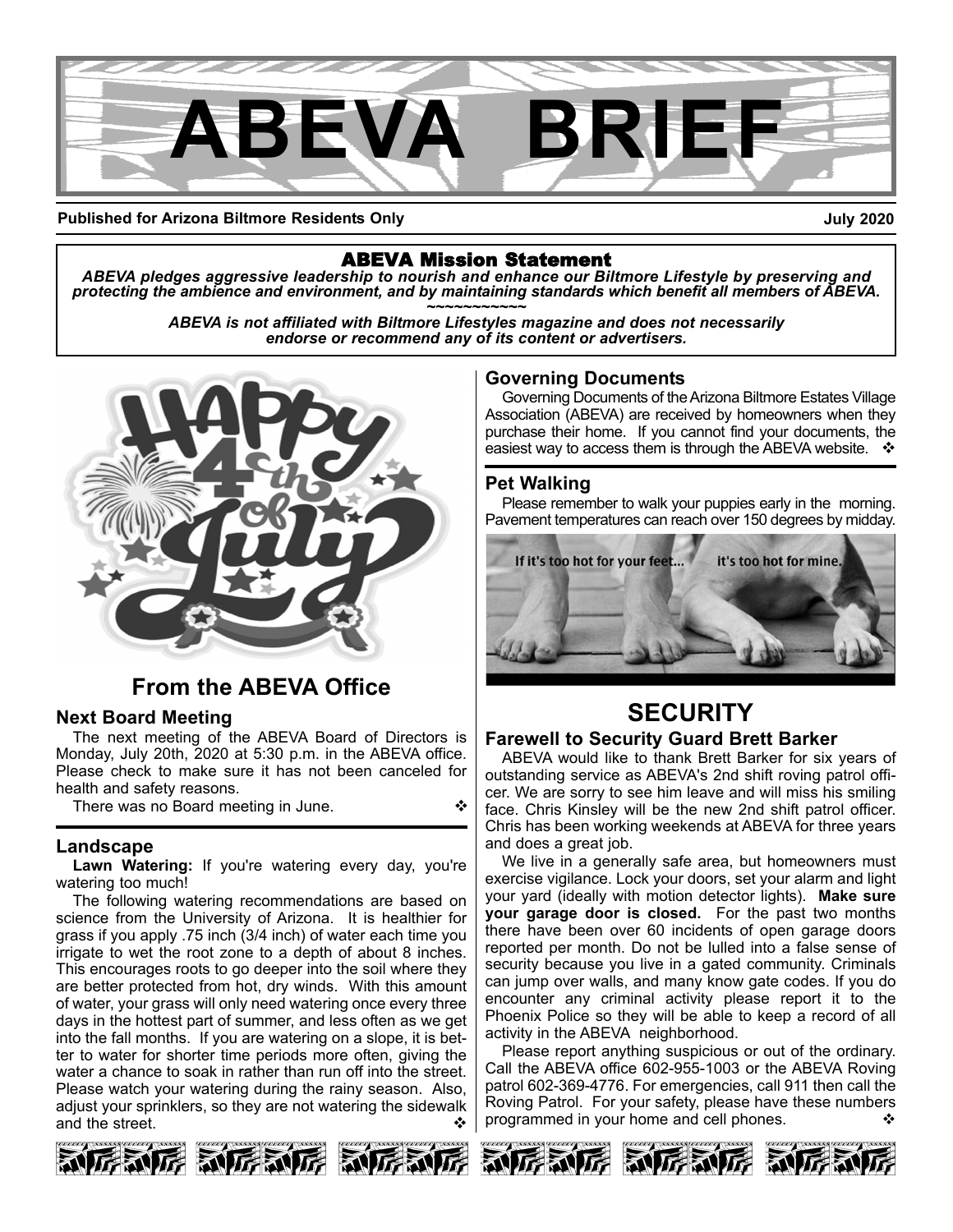

#### **Published for Arizona Biltmore Residents Only**

**July 2020**

ABEVA Mission Statement *ABEVA pledges aggressive leadership to nourish and enhance our Biltmore Lifestyle by preserving and* protecting the ambience and environment, and by maintaining standards which benefit all members of ABEVA.<br>ABEVA is not affiliated with Biltmore Lifestyles magazine and does not necessarily

*endorse or recommend any of its content or advertisers.*



# **From the ABEVA Office**

#### **Next Board Meeting**

The next meeting of the ABEVA Board of Directors is Monday, July 20th, 2020 at 5:30 p.m. in the ABEVA office. Please check to make sure it has not been canceled for health and safety reasons.

There was no Board meeting in June.

#### **Landscape**

**Lawn Watering:** If you're watering every day, you're watering too much!

The following watering recommendations are based on science from the University of Arizona. It is healthier for grass if you apply .75 inch (3/4 inch) of water each time you irrigate to wet the root zone to a depth of about 8 inches. This encourages roots to go deeper into the soil where they are better protected from hot, dry winds. With this amount of water, your grass will only need watering once every three days in the hottest part of summer, and less often as we get into the fall months. If you are watering on a slope, it is better to water for shorter time periods more often, giving the water a chance to soak in rather than run off into the street. Please watch your watering during the rainy season. Also, adjust your sprinklers, so they are not watering the sidewalk and the street.

#### **Governing Documents**

Governing Documents of theArizona Biltmore Estates Village Association (ABEVA) are received by homeowners when they purchase their home. If you cannot find your documents, the easiest way to access them is through the ABEVA website.  $\cdot \cdot$ 

#### **Pet Walking**

Please remember to walk your puppies early in the morning. Pavement temperatures can reach over 150 degrees by midday.



# **SECURITY**

#### **Farewell to Security Guard Brett Barker**

ABEVA would like to thank Brett Barker for six years of outstanding service as ABEVA's 2nd shift roving patrol officer. We are sorry to see him leave and will miss his smiling face. Chris Kinsley will be the new 2nd shift patrol officer. Chris has been working weekends at ABEVA for three years and does a great job.

We live in a generally safe area, but homeowners must exercise vigilance. Lock your doors, set your alarm and light your yard (ideally with motion detector lights). **Make sure your garage door is closed.** For the past two months there have been over 60 incidents of open garage doors reported per month. Do not be lulled into a false sense of security because you live in a gated community. Criminals can jump over walls, and many know gate codes. If you do encounter any criminal activity please report it to the Phoenix Police so they will be able to keep a record of all activity in the ABEVA neighborhood.

Please report anything suspicious or out of the ordinary. Call the ABEVA office 602-955-1003 or the ABEVA Roving patrol 602-369-4776. For emergencies, call 911 then call the Roving Patrol. For your safety, please have these numbers programmed in your home and cell phones.







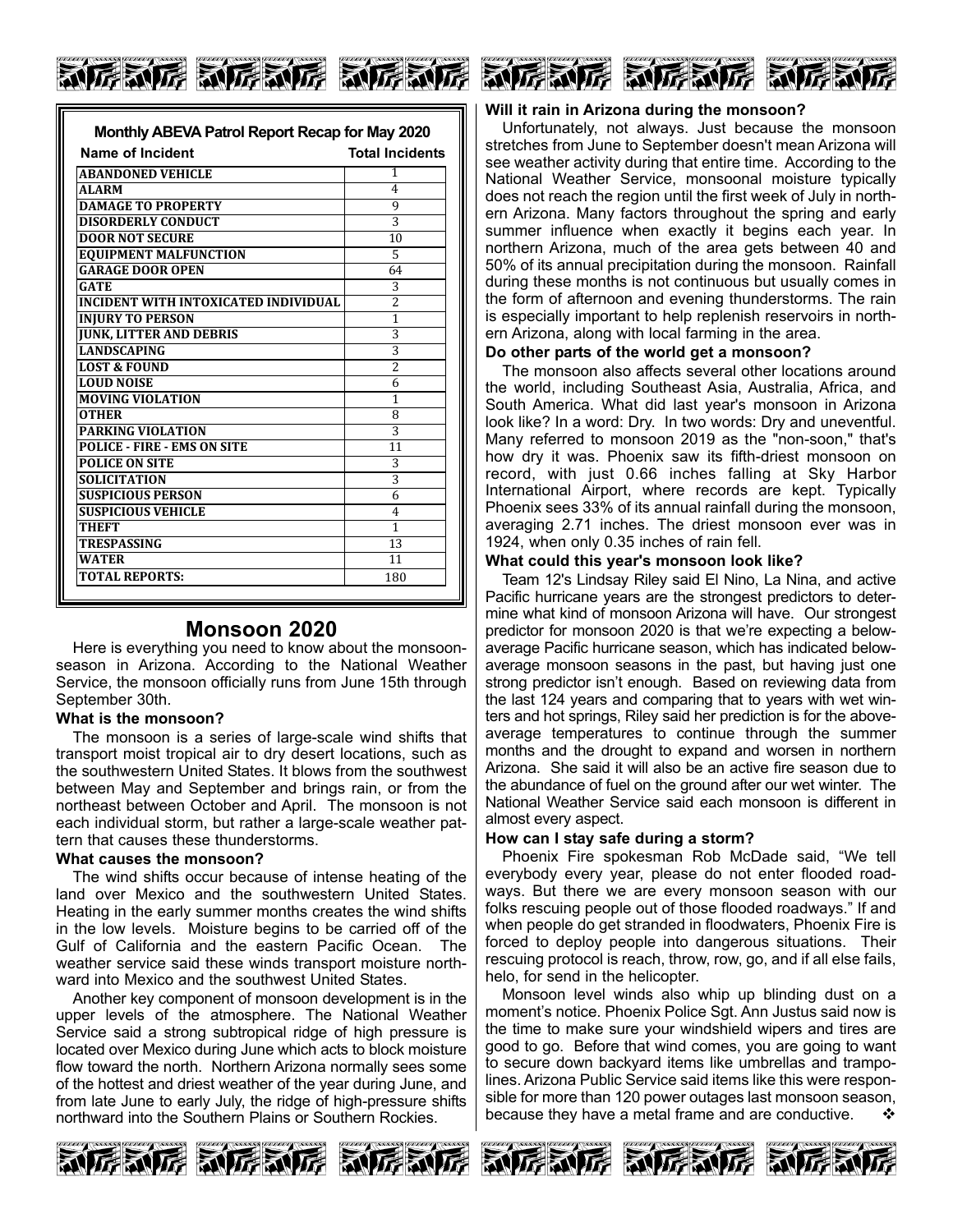# 厉威厉 动厉威厉 动厉威厉

| Monthly ABEVA Patrol Report Recap for May 2020 |                        |  |
|------------------------------------------------|------------------------|--|
| Name of Incident                               | <b>Total Incidents</b> |  |
| <b>ABANDONED VEHICLE</b>                       | 1                      |  |
| <b>ALARM</b>                                   | 4                      |  |
| <b>DAMAGE TO PROPERTY</b>                      | 9                      |  |
| <b>DISORDERLY CONDUCT</b>                      | 3                      |  |
| <b>DOOR NOT SECURE</b>                         | 10                     |  |
| <b>EQUIPMENT MALFUNCTION</b>                   | 5                      |  |
| <b>GARAGE DOOR OPEN</b>                        | 64                     |  |
| <b>GATE</b>                                    | 3                      |  |
| INCIDENT WITH INTOXICATED INDIVIDUAL           | $\overline{2}$         |  |
| <b>INJURY TO PERSON</b>                        | $\mathbf{1}$           |  |
| <b>JUNK, LITTER AND DEBRIS</b>                 | 3                      |  |
| <b>LANDSCAPING</b>                             | 3                      |  |
| <b>LOST &amp; FOUND</b>                        | $\overline{2}$         |  |
| <b>LOUD NOISE</b>                              | 6                      |  |
| <b>MOVING VIOLATION</b>                        | 1                      |  |
| <b>OTHER</b>                                   | 8                      |  |
| <b>PARKING VIOLATION</b>                       | 3                      |  |
| <b>POLICE - FIRE - EMS ON SITE</b>             | 11                     |  |
| <b>POLICE ON SITE</b>                          | 3                      |  |
| <b>SOLICITATION</b>                            | 3                      |  |
| <b>SUSPICIOUS PERSON</b>                       | 6                      |  |
| <b>SUSPICIOUS VEHICLE</b>                      | 4                      |  |
| THEFT                                          | 1                      |  |
| <b>TRESPASSING</b>                             | 13                     |  |
| <b>WATER</b>                                   | 11                     |  |
| <b>TOTAL REPORTS:</b>                          | 180                    |  |
|                                                |                        |  |

#### **LOUD NOISE** 6 **MOVING VIOLATION** 1 **Monsoon 2020**

Here is everything you need to know about the monsoonseason in Arizona. According to the National Weather Service, the monsoon officially runs from June 15th through **Policies** September 30th.

### **SOLICITATION** 3 **What is the monsoon?**

**SUSPICIOUS PERSON**<br>SUSPICIOUS PERSON The monsoon is a series of large-scale wind shifts that transport moist tropical air to dry desert locations, such as the southwestern United States. It blows from the southwest between May and September and brings rain, or from the northeast between October and April. The monsoon is not each individual storm, but rather a large-scale weather pattern that causes these thunderstorms.

#### **What causes the monsoon?**

The wind shifts occur because of intense heating of the land over Mexico and the southwestern United States. Heating in the early summer months creates the wind shifts in the low levels. Moisture begins to be carried off of the Gulf of California and the eastern Pacific Ocean. The weather service said these winds transport moisture northward into Mexico and the southwest United States.

Another key component of monsoon development is in the upper levels of the atmosphere. The National Weather Service said a strong subtropical ridge of high pressure is located over Mexico during June which acts to block moisture flow toward the north. Northern Arizona normally sees some of the hottest and driest weather of the year during June, and from late June to early July, the ridge of high-pressure shifts northward into the Southern Plains or Southern Rockies.



#### **Will it rain in Arizona during the monsoon?**

Unfortunately, not always. Just because the monsoon stretches from June to September doesn't mean Arizona will see weather activity during that entire time. According to the National Weather Service, monsoonal moisture typically does not reach the region until the first week of July in northern Arizona. Many factors throughout the spring and early summer influence when exactly it begins each year. In northern Arizona, much of the area gets between 40 and 50% of its annual precipitation during the monsoon. Rainfall during these months is not continuous but usually comes in the form of afternoon and evening thunderstorms. The rain is especially important to help replenish reservoirs in northern Arizona, along with local farming in the area.

#### **Do other parts of the world get a monsoon?**

The monsoon also affects several other locations around the world, including Southeast Asia, Australia, Africa, and South America. What did last year's monsoon in Arizona look like? In a word: Dry. In two words: Dry and uneventful. Many referred to monsoon 2019 as the "non-soon," that's how dry it was. Phoenix saw its fifth-driest monsoon on record, with just 0.66 inches falling at Sky Harbor International Airport, where records are kept. Typically Phoenix sees 33% of its annual rainfall during the monsoon, averaging 2.71 inches. The driest monsoon ever was in 1924, when only 0.35 inches of rain fell.

#### **What could this year's monsoon look like?**

Team 12's Lindsay Riley said El Nino, La Nina, and active Pacific hurricane years are the strongest predictors to determine what kind of monsoon Arizona will have. Our strongest predictor for monsoon 2020 is that we're expecting a belowaverage Pacific hurricane season, which has indicated belowaverage monsoon seasons in the past, but having just one strong predictor isn't enough. Based on reviewing data from the last 124 years and comparing that to years with wet winters and hot springs, Riley said her prediction is for the aboveaverage temperatures to continue through the summer months and the drought to expand and worsen in northern Arizona. She said it will also be an active fire season due to the abundance of fuel on the ground after our wet winter. The National Weather Service said each monsoon is different in almost every aspect.

#### **How can I stay safe during a storm?**

Phoenix Fire spokesman Rob McDade said, "We tell everybody every year, please do not enter flooded roadways. But there we are every monsoon season with our folks rescuing people out of those flooded roadways." If and when people do get stranded in floodwaters, Phoenix Fire is forced to deploy people into dangerous situations. Their rescuing protocol is reach, throw, row, go, and if all else fails, helo, for send in the helicopter.

Monsoon level winds also whip up blinding dust on a moment's notice. Phoenix Police Sgt. Ann Justus said now is the time to make sure your windshield wipers and tires are good to go. Before that wind comes, you are going to want to secure down backyard items like umbrellas and trampolines. Arizona Public Service said items like this were responsible for more than 120 power outages last monsoon season, because they have a metal frame and are conductive.  $\cdot \cdot$ 



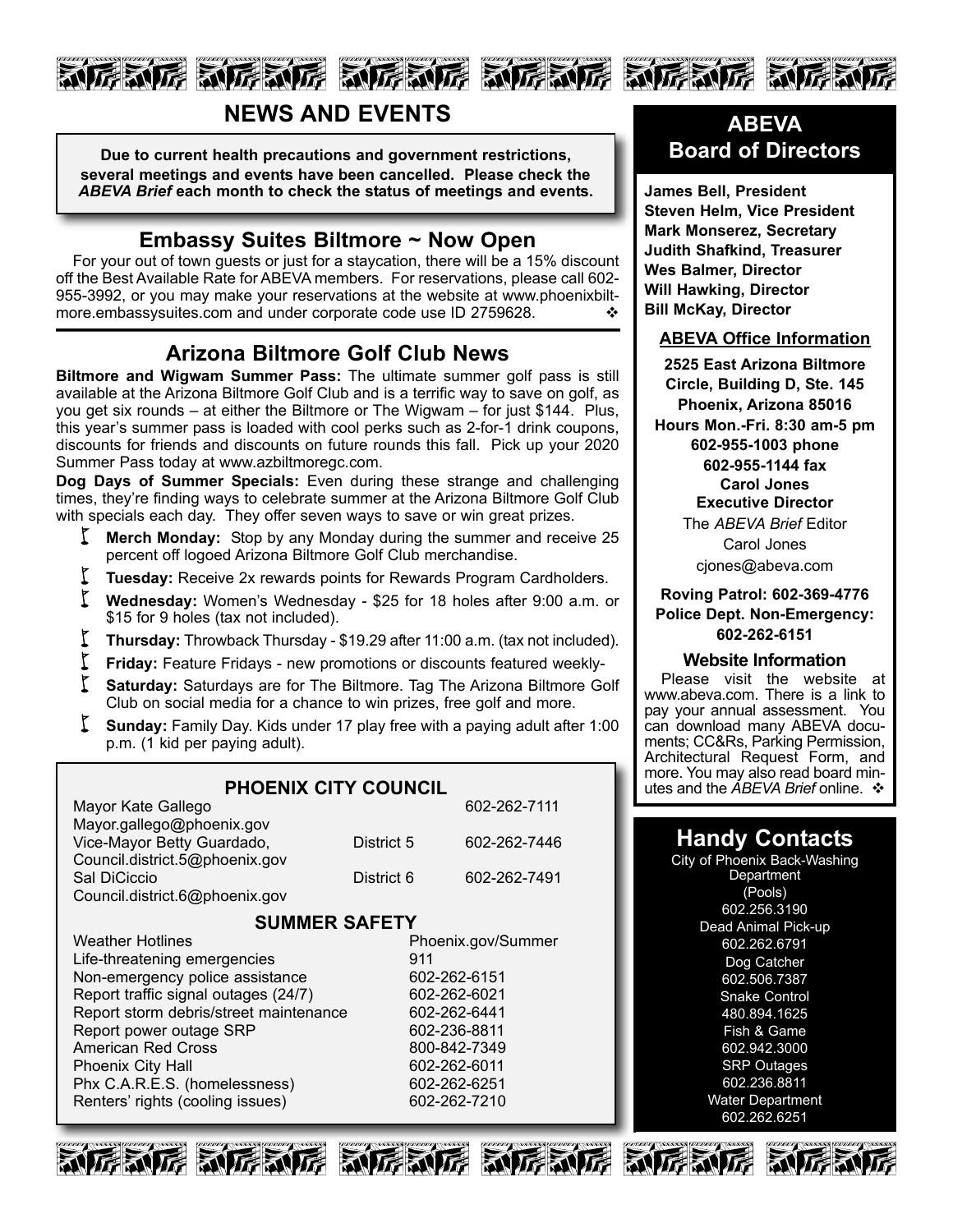# 厉威厉 动厉威厉 动厉威厉 动厉威厉 动厉威厉 动厉威

# **NEWS AND EVENTS**

**Due to current health precautions and government restrictions, several meetings and events have been cancelled. Please check the** *ABEVA Brief* **each month to check the status of meetings and events.**

### **Embassy Suites Biltmore ~ Now Open**

For your out of town guests or just for a staycation, there will be a 15% discount off the Best Available Rate for ABEVA members. For reservations, please call 602- 955-3992, or you may make your reservations at the website at www.phoenixbiltmore.embassysuites.com and under corporate code use ID 2759628.

### **Arizona Biltmore Golf Club News**

**Biltmore and Wigwam Summer Pass:** The ultimate summer golf pass is still available at the Arizona Biltmore Golf Club and is a terrific way to save on golf, as you get six rounds – at either the Biltmore or The Wigwam – for just \$144. Plus, this year's summer pass is loaded with cool perks such as 2-for-1 drink coupons, discounts for friends and discounts on future rounds this fall. Pick up your 2020 Summer Pass today at www.azbiltmoregc.com.

**Dog Days of Summer Specials:** Even during these strange and challenging times, they're finding ways to celebrate summer at the Arizona Biltmore Golf Club with specials each day. They offer seven ways to save or win great prizes.

- **K** Merch Monday: Stop by any Monday during the summer and receive 25 percent off logoed Arizona Biltmore Golf Club merchandise.
- **Tuesday:** Receive 2x rewards points for Rewards Program Cardholders.
- w **Wednesday:** Women's Wednesday \$25 for <sup>18</sup> holes after 9:00 a.m. or \$15 for 9 holes (tax not included).
- **Thursday:** Throwback Thursday \$19.29 after 11:00 a.m. (tax not included).
- **Friday:** Feature Fridays new promotions or discounts featured weekly-
- Saturday: Saturdays are for The Biltmore. Tag The Arizona Biltmore Golf Club on social media for a chance to win prizes, free golf and more.
- **Sunday:** Family Day. Kids under 17 play free with a paying adult after 1:00 p.m. (1 kid per paying adult).

### **PHOENIX CITY COUNCIL**

| Mayor Kate Gallego             |            | 602-262-7111 |
|--------------------------------|------------|--------------|
| Mayor.gallego@phoenix.gov      |            |              |
| Vice-Mayor Betty Guardado,     | District 5 | 602-262-7446 |
| Council.district.5@phoenix.gov |            |              |
| Sal DiCiccio                   | District 6 | 602-262-7491 |
| Council.district.6@phoenix.gov |            |              |

#### **SUMMER SAFETY**

Weather Hotlines **Phoenix.gov/Summer** Life-threatening emergencies 911 Non-emergency police assistance 602-262-6151 Report traffic signal outages (24/7) 602-262-6021 Report storm debris/street maintenance 602-262-6441 Report power outage SRP 602-236-8811 American Red Cross 800-842-7349 Phoenix City Hall 602-262-6011 Phx C.A.R.E.S. (homelessness) 602-262-6251 Renters' rights (cooling issues) 602-262-7210



**James Bell, President Steven Helm, Vice President Mark Monserez, Secretary Judith Shafkind, Treasurer Wes Balmer, Director Will Hawking, Director Bill McKay, Director**

#### **ABEVA Office Information**

**2525 East Arizona Biltmore Circle, Building D, Ste. 145 Phoenix, Arizona 85016 Hours Mon.-Fri. 8:30 am-5 pm 602-955-1003 phone 602-955-1144 fax Carol Jones Executive Director** The *ABEVA Brief* Editor Carol Jones cjones@abeva.com

#### **Roving Patrol: 602-369-4776 Police Dept. Non-Emergency: 602-262-6151**

#### **Website Information**

Please visit the website at www.abeva.com. There is a link to pay your annual assessment. You<br>can download many ABEVA documents; CC&Rs, Parking Permission, Architectural Request Form, and more. You may also read board minutes and the *ABEVA Brief* online. ❖

## **Handy Contacts**

City of Phoenix Back-Washing **Department** (Pools) 602.256.3190 Dead Animal Pick-up 602.262.6791 Dog Catcher 602.506.7387 Snake Control 480.894.1625 Fish & Game 602.942.3000 SRP Outages 602.236.8811 Water Department 602.262.6251